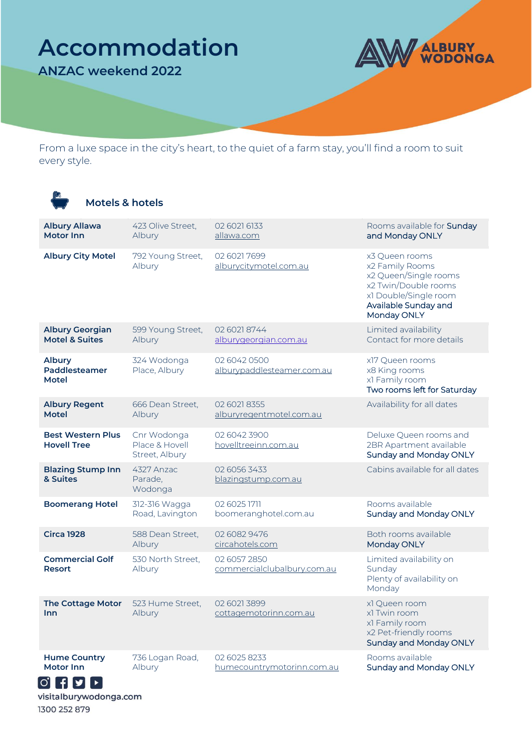## **Accommodation**

**ANZAC weekend 2022**

r2



From a luxe space in the city's heart, to the quiet of a farm stay, you'll find a room to suit every style.

| <b>Motels &amp; hotels</b>                          |                                                 |                                             |                                                                                                                                                    |
|-----------------------------------------------------|-------------------------------------------------|---------------------------------------------|----------------------------------------------------------------------------------------------------------------------------------------------------|
| <b>Albury Allawa</b><br><b>Motor Inn</b>            | 423 Olive Street,<br>Albury                     | 02 6021 6133<br>allawa.com                  | Rooms available for Sunday<br>and Monday ONLY                                                                                                      |
| <b>Albury City Motel</b>                            | 792 Young Street,<br>Albury                     | 02 6021 7699<br>alburycitymotel.com.au      | x3 Queen rooms<br>x2 Family Rooms<br>x2 Queen/Single rooms<br>x2 Twin/Double rooms<br>x1 Double/Single room<br>Available Sunday and<br>Monday ONLY |
| <b>Albury Georgian</b><br><b>Motel &amp; Suites</b> | 599 Young Street,<br>Albury                     | 02 6021 8744<br>alburygeorgian.com.au       | Limited availability<br>Contact for more details                                                                                                   |
| <b>Albury</b><br>Paddlesteamer<br>Motel             | 324 Wodonga<br>Place, Albury                    | 02 6042 0500<br>alburypaddlesteamer.com.au  | x17 Queen rooms<br>x8 King rooms<br>x1 Family room<br>Two rooms left for Saturday                                                                  |
| <b>Albury Regent</b><br><b>Motel</b>                | 666 Dean Street,<br>Albury                      | 02 6021 8355<br>alburyregentmotel.com.au    | Availability for all dates                                                                                                                         |
| <b>Best Western Plus</b><br><b>Hovell Tree</b>      | Cnr Wodonga<br>Place & Hovell<br>Street, Albury | 02 6042 3900<br>hovelltreeinn.com.au        | Deluxe Queen rooms and<br>2BR Apartment available<br>Sunday and Monday ONLY                                                                        |
| <b>Blazing Stump Inn</b><br>& Suites                | 4327 Anzac<br>Parade,<br>Wodonga                | 02 6056 3433<br>blazingstump.com.au         | Cabins available for all dates                                                                                                                     |
| <b>Boomerang Hotel</b>                              | 312-316 Wagga<br>Road, Lavington                | 02 6025 1711<br>boomeranghotel.com.au       | Rooms available<br>Sunday and Monday ONLY                                                                                                          |
| <b>Circa 1928</b>                                   | 588 Dean Street,<br>Albury                      | 02 6082 9476<br>circahotels.com             | Both rooms available<br>Monday ONLY                                                                                                                |
| <b>Commercial Golf</b><br><b>Resort</b>             | 530 North Street,<br>Albury                     | 02 6057 2850<br>commercialclubalbury.com.au | Limited availability on<br>Sunday<br>Plenty of availability on<br>Monday                                                                           |
| <b>The Cottage Motor</b><br><b>Inn</b>              | 523 Hume Street,<br>Albury                      | 02 6021 3899<br>cottagemotorinn.com.au      | x1 Queen room<br>x1 Twin room<br>x1 Family room<br>x2 Pet-friendly rooms<br><b>Sunday and Monday ONLY</b>                                          |
| <b>Hume Country</b><br><b>Motor Inn</b>             | 736 Logan Road,<br>Albury                       | 02 6025 8233<br>humecountrymotorinn.com.au  | Rooms available<br>Sunday and Monday ONLY                                                                                                          |

visitalburywodonga.com 1300 252 879

 $\begin{bmatrix} 0 \\ 1 \\ 0 \end{bmatrix} + \begin{bmatrix} 0 \\ 0 \\ 1 \end{bmatrix} + \begin{bmatrix} 0 \\ 0 \\ 0 \end{bmatrix}$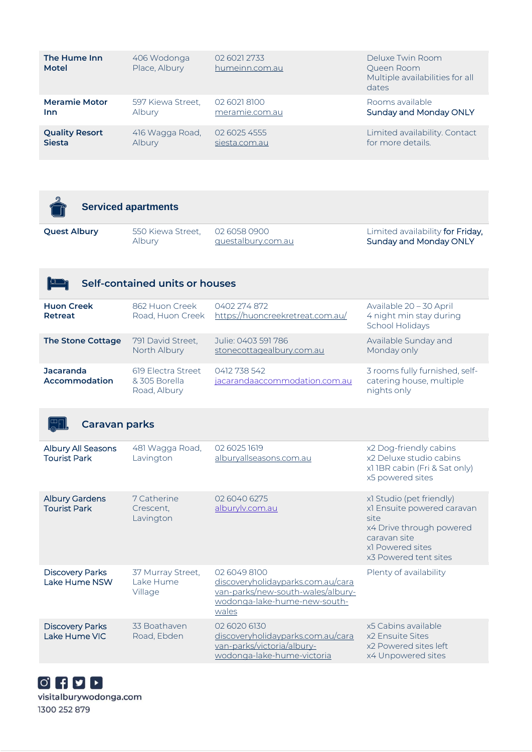| The Hume Inn<br><b>Motel</b> | 406 Wodonga<br>Place, Albury | 02 6021 2733<br>humeinn.com.au | Deluxe Twin Room<br>Queen Room<br>Multiple availabilities for all<br>dates |
|------------------------------|------------------------------|--------------------------------|----------------------------------------------------------------------------|
| <b>Meramie Motor</b>         | 597 Kiewa Street.            | 02 6021 8100                   | Rooms available                                                            |
| Inn                          | <b>Albury</b>                | meramie.com.au                 | Sunday and Monday ONLY                                                     |
| <b>Quality Resort</b>        | 416 Wagga Road,              | 02 6025 4555                   | Limited availability. Contact                                              |
| <b>Siesta</b>                | Albury                       | siesta.com.au                  | for more details.                                                          |

|                     | <b>Serviced apartments</b> |                    |                                  |
|---------------------|----------------------------|--------------------|----------------------------------|
| <b>Quest Albury</b> | 550 Kiewa Street.          | 02 6058 0900       | Limited availability for Friday, |
|                     | Albury                     | questalbury.com.au | Sunday and Monday ONLY           |

| Self-contained units or houses    |                                                     |                                                  |                                                                           |
|-----------------------------------|-----------------------------------------------------|--------------------------------------------------|---------------------------------------------------------------------------|
| <b>Huon Creek</b><br>Retreat      | 862 Huon Creek<br>Road, Huon Creek                  | 0402 274 872<br>https://huoncreekretreat.com.au/ | Available 20 - 30 April<br>4 night min stay during<br>School Holidays     |
| <b>The Stone Cottage</b>          | 791 David Street,<br>North Albury                   | Julie: 0403 591 786<br>stonecottagealbury.com.au | Available Sunday and<br>Monday only                                       |
| <b>Jacaranda</b><br>Accommodation | 619 Electra Street<br>& 305 Borella<br>Road, Albury | 0412 738 542<br>jacarandaaccommodation.com.au    | 3 rooms fully furnished, self-<br>catering house, multiple<br>nights only |

| <b>Caravan parks</b>                         |                                           |                                                                                                                                 |                                                                                                                                                         |
|----------------------------------------------|-------------------------------------------|---------------------------------------------------------------------------------------------------------------------------------|---------------------------------------------------------------------------------------------------------------------------------------------------------|
| Albury All Seasons<br><b>Tourist Park</b>    | 481 Wagga Road,<br>Lavington              | 02 6025 1619<br>alburyallseasons.com.au                                                                                         | x2 Dog-friendly cabins<br>x2 Deluxe studio cabins<br>x11BR cabin (Fri & Sat only)<br>x5 powered sites                                                   |
| <b>Albury Gardens</b><br><b>Tourist Park</b> | 7 Catherine<br>Crescent,<br>Lavington     | 02 6040 6275<br>alburyly.com.au                                                                                                 | x1 Studio (pet friendly)<br>x1 Ensuite powered caravan<br>site<br>x4 Drive through powered<br>caravan site<br>x1 Powered sites<br>x3 Powered tent sites |
| <b>Discovery Parks</b><br>Lake Hume NSW      | 37 Murray Street,<br>Lake Hume<br>Village | 02 6049 8100<br>discoveryholidayparks.com.au/cara<br>van-parks/new-south-wales/albury-<br>wodonga-lake-hume-new-south-<br>wales | Plenty of availability                                                                                                                                  |
| <b>Discovery Parks</b><br>Lake Hume VIC      | 33 Boathaven<br>Road, Ebden               | 02 6020 6130<br>discoveryholidayparks.com.au/cara<br>van-parks/victoria/albury-                                                 | x5 Cabins available<br>x2 Ensuite Sites<br>x2 Powered sites left                                                                                        |

[wodonga-lake-hume-victoria](https://www.discoveryholidayparks.com.au/caravan-parks/victoria/albury-wodonga-lake-hume-victoria)

x4 Unpowered sites

 $[0]$  <br>  $[1]$  <br>  $[2]$  <br>  $[3]$ visitalburywodonga.com 1300 252 879